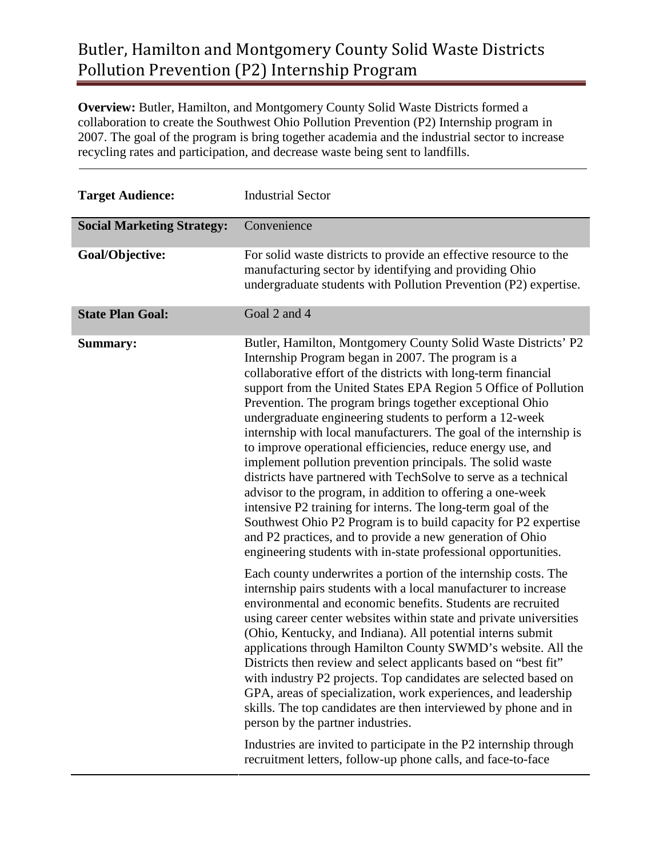**Overview:** Butler, Hamilton, and Montgomery County Solid Waste Districts formed a collaboration to create the Southwest Ohio Pollution Prevention (P2) Internship program in 2007. The goal of the program is bring together academia and the industrial sector to increase recycling rates and participation, and decrease waste being sent to landfills.

| <b>Target Audience:</b>           | <b>Industrial Sector</b>                                                                                                                                                                                                                                                                                                                                                                                                                                                                                                                                                                                                                                                                                                                                                                                                                                                                                                                                                              |
|-----------------------------------|---------------------------------------------------------------------------------------------------------------------------------------------------------------------------------------------------------------------------------------------------------------------------------------------------------------------------------------------------------------------------------------------------------------------------------------------------------------------------------------------------------------------------------------------------------------------------------------------------------------------------------------------------------------------------------------------------------------------------------------------------------------------------------------------------------------------------------------------------------------------------------------------------------------------------------------------------------------------------------------|
| <b>Social Marketing Strategy:</b> | Convenience                                                                                                                                                                                                                                                                                                                                                                                                                                                                                                                                                                                                                                                                                                                                                                                                                                                                                                                                                                           |
| Goal/Objective:                   | For solid waste districts to provide an effective resource to the<br>manufacturing sector by identifying and providing Ohio<br>undergraduate students with Pollution Prevention (P2) expertise.                                                                                                                                                                                                                                                                                                                                                                                                                                                                                                                                                                                                                                                                                                                                                                                       |
| <b>State Plan Goal:</b>           | Goal 2 and 4                                                                                                                                                                                                                                                                                                                                                                                                                                                                                                                                                                                                                                                                                                                                                                                                                                                                                                                                                                          |
| <b>Summary:</b>                   | Butler, Hamilton, Montgomery County Solid Waste Districts' P2<br>Internship Program began in 2007. The program is a<br>collaborative effort of the districts with long-term financial<br>support from the United States EPA Region 5 Office of Pollution<br>Prevention. The program brings together exceptional Ohio<br>undergraduate engineering students to perform a 12-week<br>internship with local manufacturers. The goal of the internship is<br>to improve operational efficiencies, reduce energy use, and<br>implement pollution prevention principals. The solid waste<br>districts have partnered with TechSolve to serve as a technical<br>advisor to the program, in addition to offering a one-week<br>intensive P2 training for interns. The long-term goal of the<br>Southwest Ohio P2 Program is to build capacity for P2 expertise<br>and P2 practices, and to provide a new generation of Ohio<br>engineering students with in-state professional opportunities. |
|                                   | Each county underwrites a portion of the internship costs. The<br>internship pairs students with a local manufacturer to increase<br>environmental and economic benefits. Students are recruited<br>using career center websites within state and private universities<br>(Ohio, Kentucky, and Indiana). All potential interns submit<br>applications through Hamilton County SWMD's website. All the<br>Districts then review and select applicants based on "best fit"<br>with industry P2 projects. Top candidates are selected based on<br>GPA, areas of specialization, work experiences, and leadership<br>skills. The top candidates are then interviewed by phone and in<br>person by the partner industries.<br>Industries are invited to participate in the P2 internship through<br>recruitment letters, follow-up phone calls, and face-to-face                                                                                                                           |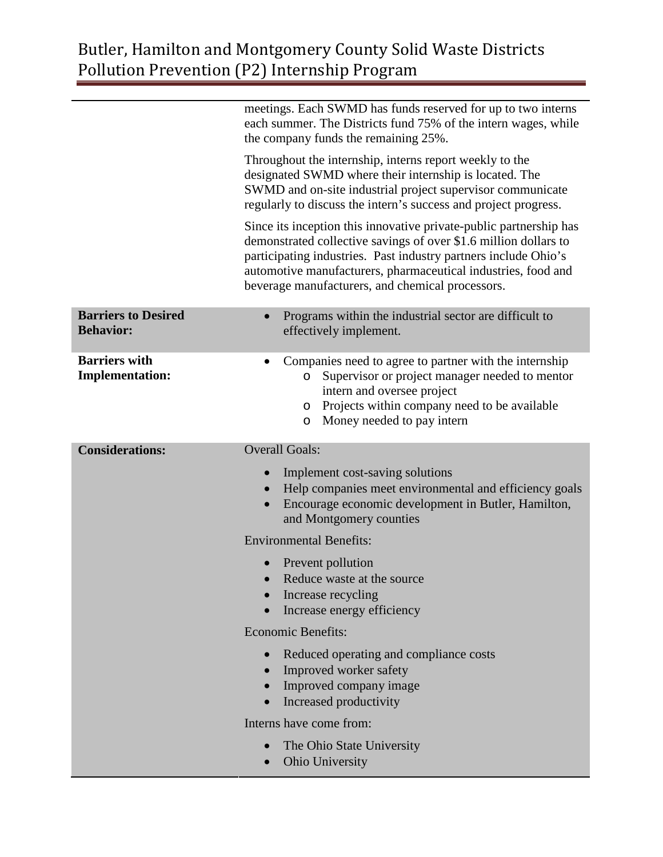|                                                | meetings. Each SWMD has funds reserved for up to two interns<br>each summer. The Districts fund 75% of the intern wages, while<br>the company funds the remaining 25%.                                                                                                                                                         |
|------------------------------------------------|--------------------------------------------------------------------------------------------------------------------------------------------------------------------------------------------------------------------------------------------------------------------------------------------------------------------------------|
|                                                | Throughout the internship, interns report weekly to the<br>designated SWMD where their internship is located. The<br>SWMD and on-site industrial project supervisor communicate<br>regularly to discuss the intern's success and project progress.                                                                             |
|                                                | Since its inception this innovative private-public partnership has<br>demonstrated collective savings of over \$1.6 million dollars to<br>participating industries. Past industry partners include Ohio's<br>automotive manufacturers, pharmaceutical industries, food and<br>beverage manufacturers, and chemical processors. |
| <b>Barriers to Desired</b><br><b>Behavior:</b> | Programs within the industrial sector are difficult to<br>effectively implement.                                                                                                                                                                                                                                               |
| <b>Barriers with</b><br><b>Implementation:</b> | Companies need to agree to partner with the internship<br>Supervisor or project manager needed to mentor<br>$\circ$<br>intern and oversee project<br>o Projects within company need to be available<br>Money needed to pay intern<br>$\circ$                                                                                   |
|                                                |                                                                                                                                                                                                                                                                                                                                |
| <b>Considerations:</b>                         | <b>Overall Goals:</b>                                                                                                                                                                                                                                                                                                          |
|                                                | Implement cost-saving solutions<br>$\bullet$<br>Help companies meet environmental and efficiency goals<br>$\bullet$<br>Encourage economic development in Butler, Hamilton,<br>$\bullet$<br>and Montgomery counties                                                                                                             |
|                                                | <b>Environmental Benefits:</b>                                                                                                                                                                                                                                                                                                 |
|                                                | Prevent pollution<br>Reduce waste at the source<br>Increase recycling<br>Increase energy efficiency                                                                                                                                                                                                                            |
|                                                | <b>Economic Benefits:</b>                                                                                                                                                                                                                                                                                                      |
|                                                | Reduced operating and compliance costs<br>Improved worker safety<br>$\bullet$<br>Improved company image<br>$\bullet$<br>Increased productivity<br>$\bullet$                                                                                                                                                                    |
|                                                | Interns have come from:                                                                                                                                                                                                                                                                                                        |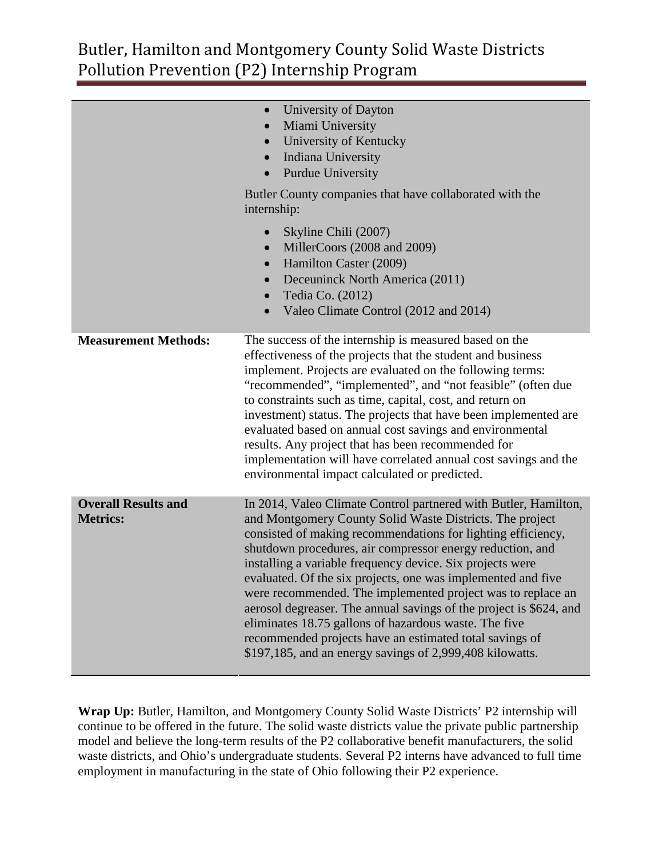|                                               | University of Dayton<br>$\bullet$<br>Miami University<br>$\bullet$<br>University of Kentucky<br>$\bullet$<br>Indiana University<br>$\bullet$<br>Purdue University<br>$\bullet$<br>Butler County companies that have collaborated with the<br>internship:<br>Skyline Chili (2007)<br>$\bullet$<br>MillerCoors (2008 and 2009)<br>$\bullet$                                                                                                                                                                                                                                                                                                                                                                  |
|-----------------------------------------------|------------------------------------------------------------------------------------------------------------------------------------------------------------------------------------------------------------------------------------------------------------------------------------------------------------------------------------------------------------------------------------------------------------------------------------------------------------------------------------------------------------------------------------------------------------------------------------------------------------------------------------------------------------------------------------------------------------|
|                                               | Hamilton Caster (2009)<br>$\bullet$<br>Deceuninck North America (2011)<br>$\bullet$<br>Tedia Co. (2012)<br>$\bullet$<br>Valeo Climate Control (2012 and 2014)<br>$\bullet$                                                                                                                                                                                                                                                                                                                                                                                                                                                                                                                                 |
| <b>Measurement Methods:</b>                   | The success of the internship is measured based on the<br>effectiveness of the projects that the student and business<br>implement. Projects are evaluated on the following terms:<br>"recommended", "implemented", and "not feasible" (often due<br>to constraints such as time, capital, cost, and return on<br>investment) status. The projects that have been implemented are<br>evaluated based on annual cost savings and environmental<br>results. Any project that has been recommended for<br>implementation will have correlated annual cost savings and the<br>environmental impact calculated or predicted.                                                                                    |
| <b>Overall Results and</b><br><b>Metrics:</b> | In 2014, Valeo Climate Control partnered with Butler, Hamilton,<br>and Montgomery County Solid Waste Districts. The project<br>consisted of making recommendations for lighting efficiency,<br>shutdown procedures, air compressor energy reduction, and<br>installing a variable frequency device. Six projects were<br>evaluated. Of the six projects, one was implemented and five<br>were recommended. The implemented project was to replace an<br>aerosol degreaser. The annual savings of the project is \$624, and<br>eliminates 18.75 gallons of hazardous waste. The five<br>recommended projects have an estimated total savings of<br>\$197,185, and an energy savings of 2,999,408 kilowatts. |

**Wrap Up:** Butler, Hamilton, and Montgomery County Solid Waste Districts' P2 internship will continue to be offered in the future. The solid waste districts value the private public partnership model and believe the long-term results of the P2 collaborative benefit manufacturers, the solid waste districts, and Ohio's undergraduate students. Several P2 interns have advanced to full time employment in manufacturing in the state of Ohio following their P2 experience.